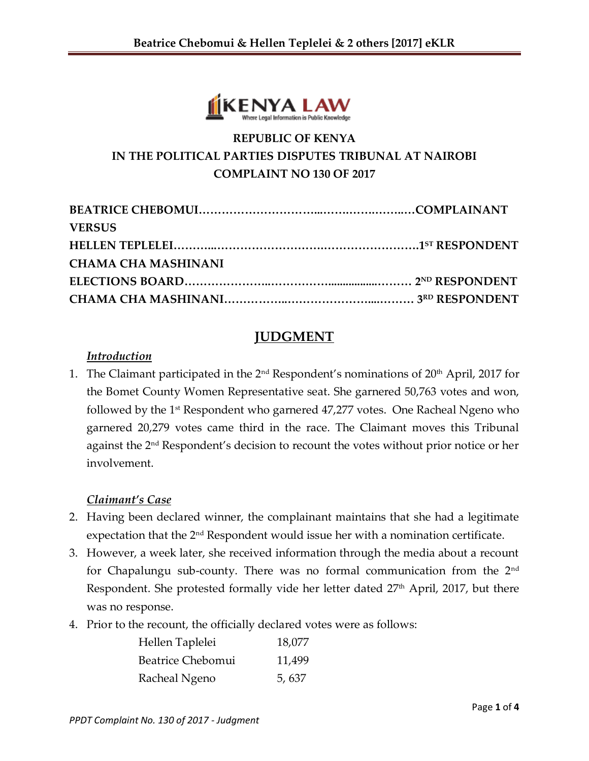

# **REPUBLIC OF KENYA IN THE POLITICAL PARTIES DISPUTES TRIBUNAL AT NAIROBI COMPLAINT NO 130 OF 2017**

| <b>VERSUS</b>              |  |
|----------------------------|--|
|                            |  |
| <b>CHAMA CHA MASHINANI</b> |  |
|                            |  |
|                            |  |

## **JUDGMENT**

#### *Introduction*

1. The Claimant participated in the 2<sup>nd</sup> Respondent's nominations of 20<sup>th</sup> April, 2017 for the Bomet County Women Representative seat. She garnered 50,763 votes and won, followed by the 1<sup>st</sup> Respondent who garnered 47,277 votes. One Racheal Ngeno who garnered 20,279 votes came third in the race. The Claimant moves this Tribunal against the 2<sup>nd</sup> Respondent's decision to recount the votes without prior notice or her involvement.

#### *Claimant's Case*

- 2. Having been declared winner, the complainant maintains that she had a legitimate expectation that the 2<sup>nd</sup> Respondent would issue her with a nomination certificate.
- 3. However, a week later, she received information through the media about a recount for Chapalungu sub-county. There was no formal communication from the 2nd Respondent. She protested formally vide her letter dated  $27<sup>th</sup>$  April, 2017, but there was no response.
- 4. Prior to the recount, the officially declared votes were as follows:

| Hellen Taplelei   | 18,077 |
|-------------------|--------|
| Beatrice Chebomui | 11,499 |
| Racheal Ngeno     | 5,637  |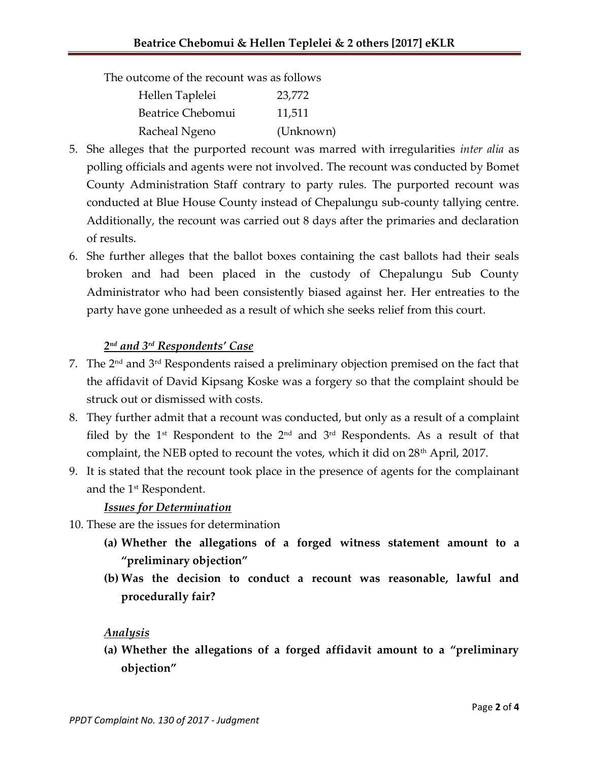The outcome of the recount was as follows

| Hellen Taplelei   | 23,772    |
|-------------------|-----------|
| Beatrice Chebomui | 11,511    |
| Racheal Ngeno     | (Unknown) |

- 5. She alleges that the purported recount was marred with irregularities *inter alia* as polling officials and agents were not involved. The recount was conducted by Bomet County Administration Staff contrary to party rules. The purported recount was conducted at Blue House County instead of Chepalungu sub-county tallying centre. Additionally, the recount was carried out 8 days after the primaries and declaration of results.
- 6. She further alleges that the ballot boxes containing the cast ballots had their seals broken and had been placed in the custody of Chepalungu Sub County Administrator who had been consistently biased against her. Her entreaties to the party have gone unheeded as a result of which she seeks relief from this court.

### *2 nd and 3rd Respondents' Case*

- 7. The 2nd and 3rd Respondents raised a preliminary objection premised on the fact that the affidavit of David Kipsang Koske was a forgery so that the complaint should be struck out or dismissed with costs.
- 8. They further admit that a recount was conducted, but only as a result of a complaint filed by the 1st Respondent to the 2nd and 3rd Respondents. As a result of that complaint, the NEB opted to recount the votes, which it did on 28<sup>th</sup> April, 2017.
- 9. It is stated that the recount took place in the presence of agents for the complainant and the 1st Respondent.

### *Issues for Determination*

- 10. These are the issues for determination
	- **(a) Whether the allegations of a forged witness statement amount to a "preliminary objection"**
	- **(b) Was the decision to conduct a recount was reasonable, lawful and procedurally fair?**

### *Analysis*

**(a) Whether the allegations of a forged affidavit amount to a "preliminary objection"**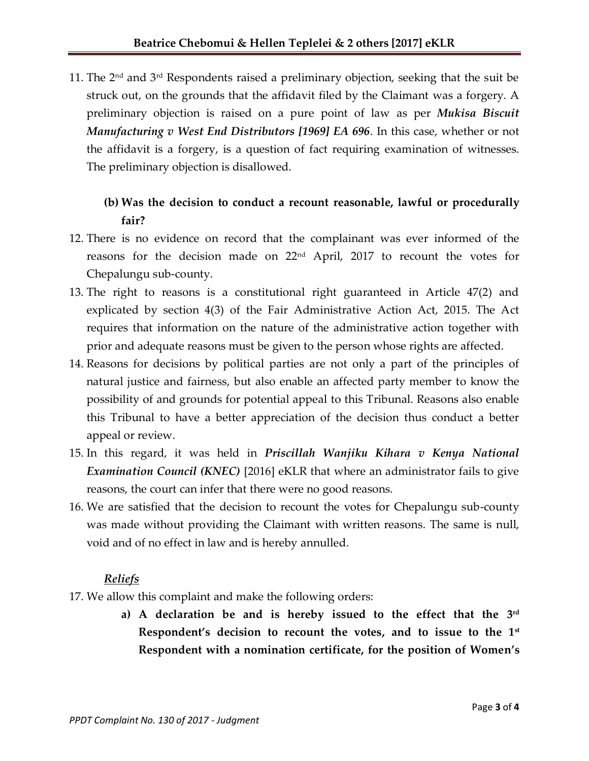11. The  $2<sup>nd</sup>$  and  $3<sup>rd</sup>$  Respondents raised a preliminary objection, seeking that the suit be struck out, on the grounds that the affidavit filed by the Claimant was a forgery. A preliminary objection is raised on a pure point of law as per *Mukisa Biscuit Manufacturing v West End Distributors [1969] EA 696*. In this case, whether or not the affidavit is a forgery, is a question of fact requiring examination of witnesses. The preliminary objection is disallowed.

# **(b) Was the decision to conduct a recount reasonable, lawful or procedurally fair?**

- 12. There is no evidence on record that the complainant was ever informed of the reasons for the decision made on 22nd April, 2017 to recount the votes for Chepalungu sub-county.
- 13. The right to reasons is a constitutional right guaranteed in Article 47(2) and explicated by section 4(3) of the Fair Administrative Action Act, 2015. The Act requires that information on the nature of the administrative action together with prior and adequate reasons must be given to the person whose rights are affected.
- 14. Reasons for decisions by political parties are not only a part of the principles of natural justice and fairness, but also enable an affected party member to know the possibility of and grounds for potential appeal to this Tribunal. Reasons also enable this Tribunal to have a better appreciation of the decision thus conduct a better appeal or review.
- 15. In this regard, it was held in *Priscillah Wanjiku Kihara v Kenya National Examination Council (KNEC)* [2016] eKLR that where an administrator fails to give reasons, the court can infer that there were no good reasons.
- 16. We are satisfied that the decision to recount the votes for Chepalungu sub-county was made without providing the Claimant with written reasons. The same is null, void and of no effect in law and is hereby annulled.

## *Reliefs*

- 17. We allow this complaint and make the following orders:
	- **a) A declaration be and is hereby issued to the effect that the 3 rd Respondent's decision to recount the votes, and to issue to the 1st Respondent with a nomination certificate, for the position of Women's**